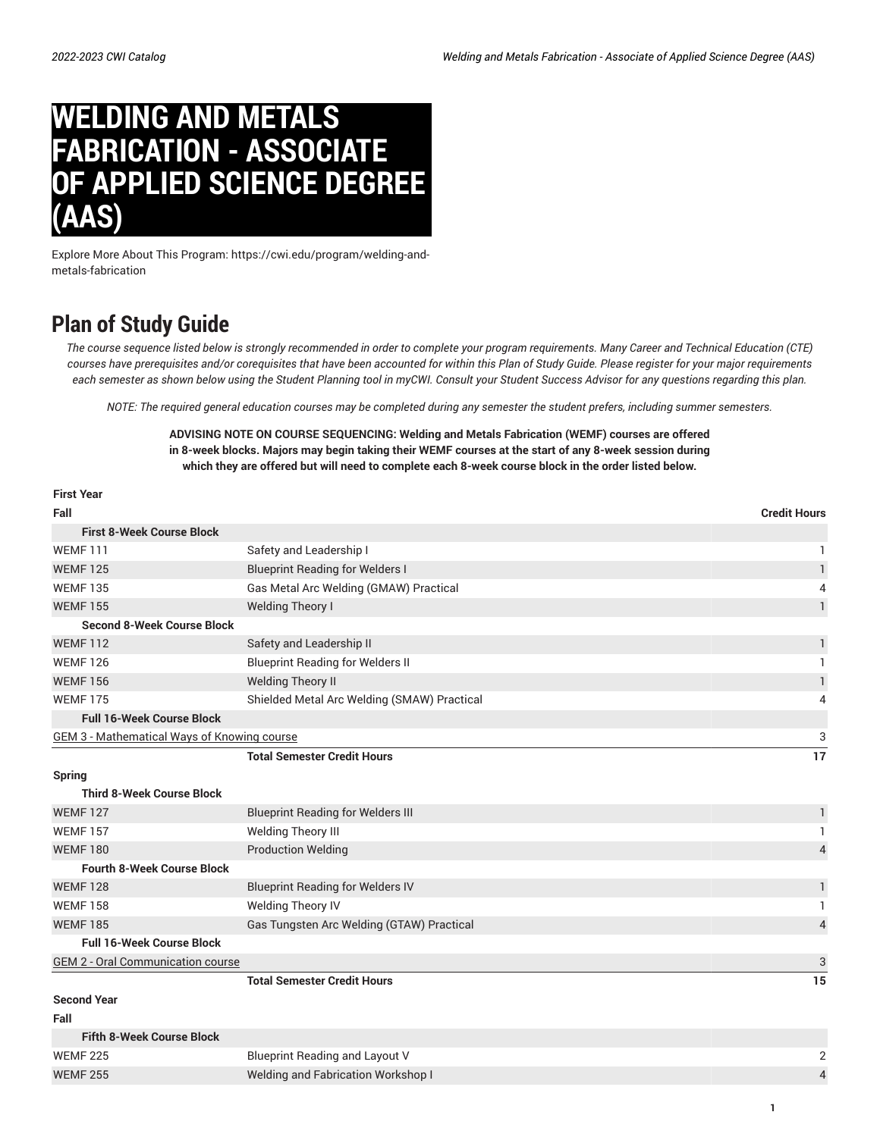## **WELDING AND METALS FABRICATION - ASSOCIATE OF APPLIED SCIENCE DEGREE (AAS)**

Explore More About This Program: https://cwi.edu/program/welding-andmetals-fabrication

## **Plan of Study Guide**

The course sequence listed below is strongly recommended in order to complete your program requirements. Many Career and Technical Education (CTE) courses have prerequisites and/or corequisites that have been accounted for within this Plan of Study Guide. Please register for your major requirements each semester as shown below using the Student Planning tool in myCWI. Consult your Student Success Advisor for any questions regarding this plan.

NOTE: The required general education courses may be completed during any semester the student prefers, including summer semesters.

## **ADVISING NOTE ON COURSE SEQUENCING: Welding and Metals Fabrication (WEMF) courses are offered in 8-week blocks. Majors may begin taking their WEMF courses at the start of any 8-week session during** which they are offered but will need to complete each 8-week course block in the order listed below.

| <b>First Year</b>                                  |                                             |                     |
|----------------------------------------------------|---------------------------------------------|---------------------|
| Fall                                               |                                             | <b>Credit Hours</b> |
| <b>First 8-Week Course Block</b>                   |                                             |                     |
| <b>WEMF111</b>                                     | Safety and Leadership I                     |                     |
| <b>WEMF125</b>                                     | <b>Blueprint Reading for Welders I</b>      | 1                   |
| <b>WEMF 135</b>                                    | Gas Metal Arc Welding (GMAW) Practical      | 4                   |
| <b>WEMF155</b>                                     | <b>Welding Theory I</b>                     | $\mathbf{1}$        |
| <b>Second 8-Week Course Block</b>                  |                                             |                     |
| <b>WEMF112</b>                                     | Safety and Leadership II                    | 1                   |
| <b>WEMF 126</b>                                    | <b>Blueprint Reading for Welders II</b>     | 1                   |
| <b>WEMF 156</b>                                    | <b>Welding Theory II</b>                    | $\mathbf{1}$        |
| <b>WEMF175</b>                                     | Shielded Metal Arc Welding (SMAW) Practical | 4                   |
| <b>Full 16-Week Course Block</b>                   |                                             |                     |
| <b>GEM 3 - Mathematical Ways of Knowing course</b> |                                             | 3                   |
|                                                    | <b>Total Semester Credit Hours</b>          | 17                  |
| Spring                                             |                                             |                     |
| <b>Third 8-Week Course Block</b>                   |                                             |                     |
| <b>WEMF127</b>                                     | <b>Blueprint Reading for Welders III</b>    | 1                   |
| <b>WEMF 157</b>                                    | Welding Theory III                          | 1                   |
| <b>WEMF180</b>                                     | <b>Production Welding</b>                   | $\overline{4}$      |
| <b>Fourth 8-Week Course Block</b>                  |                                             |                     |
| <b>WEMF128</b>                                     | <b>Blueprint Reading for Welders IV</b>     | 1                   |
| <b>WEMF158</b>                                     | <b>Welding Theory IV</b>                    | 1                   |
| <b>WEMF185</b>                                     | Gas Tungsten Arc Welding (GTAW) Practical   | $\overline{4}$      |
| <b>Full 16-Week Course Block</b>                   |                                             |                     |
| <b>GEM 2 - Oral Communication course</b>           |                                             | 3                   |
|                                                    | <b>Total Semester Credit Hours</b>          | 15                  |
| <b>Second Year</b>                                 |                                             |                     |
| Fall                                               |                                             |                     |
| <b>Fifth 8-Week Course Block</b>                   |                                             |                     |
| <b>WEMF 225</b>                                    | <b>Blueprint Reading and Layout V</b>       | $\sqrt{2}$          |
| <b>WEMF 255</b>                                    | <b>Welding and Fabrication Workshop I</b>   | $\overline{4}$      |